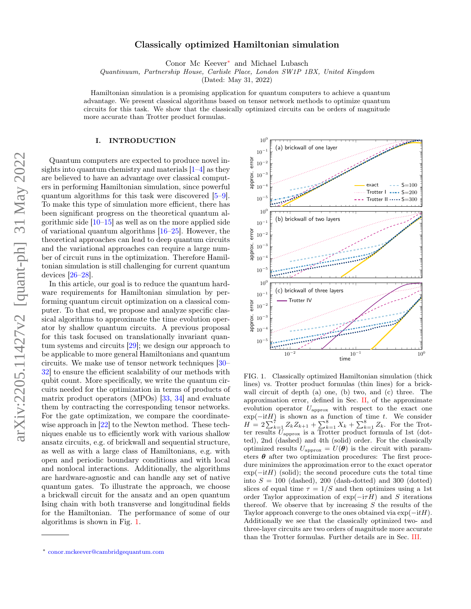# Classically optimized Hamiltonian simulation

Conor Mc Keever[∗](#page-0-0) and Michael Lubasch

Quantinuum, Partnership House, Carlisle Place, London SW1P 1BX, United Kingdom

(Dated: May 31, 2022)

Hamiltonian simulation is a promising application for quantum computers to achieve a quantum advantage. We present classical algorithms based on tensor network methods to optimize quantum circuits for this task. We show that the classically optimized circuits can be orders of magnitude more accurate than Trotter product formulas.

#### I. INTRODUCTION

Quantum computers are expected to produce novel insights into quantum chemistry and materials [\[1–](#page-4-0)[4\]](#page-4-1) as they are believed to have an advantage over classical computers in performing Hamiltonian simulation, since powerful quantum algorithms for this task were discovered [\[5–](#page-4-2)[9\]](#page-4-3). To make this type of simulation more efficient, there has been significant progress on the theoretical quantum algorithmic side  $[10-15]$  $[10-15]$  as well as on the more applied side of variational quantum algorithms [\[16–](#page-4-6)[25\]](#page-4-7). However, the theoretical approaches can lead to deep quantum circuits and the variational approaches can require a large number of circuit runs in the optimization. Therefore Hamiltonian simulation is still challenging for current quantum devices [\[26–](#page-5-0)[28\]](#page-5-1).

In this article, our goal is to reduce the quantum hardware requirements for Hamiltonian simulation by performing quantum circuit optimization on a classical computer. To that end, we propose and analyze specific classical algorithms to approximate the time evolution operator by shallow quantum circuits. A previous proposal for this task focused on translationally invariant quantum systems and circuits [\[29\]](#page-5-2); we design our approach to be applicable to more general Hamiltonians and quantum circuits. We make use of tensor network techniques [\[30–](#page-5-3) [32\]](#page-5-4) to ensure the efficient scalability of our methods with qubit count. More specifically, we write the quantum circuits needed for the optimization in terms of products of matrix product operators (MPOs) [\[33,](#page-5-5) [34\]](#page-5-6) and evaluate them by contracting the corresponding tensor networks. For the gate optimization, we compare the coordinate-wise approach in [\[22\]](#page-4-8) to the Newton method. These techniques enable us to efficiently work with various shallow ansatz circuits, e.g. of brickwall and sequential structure, as well as with a large class of Hamiltonians, e.g. with open and periodic boundary conditions and with local and nonlocal interactions. Additionally, the algorithms are hardware-agnostic and can handle any set of native quantum gates. To illustrate the approach, we choose a brickwall circuit for the ansatz and an open quantum Ising chain with both transverse and longitudinal fields for the Hamiltonian. The performance of some of our algorithms is shown in Fig. [1.](#page-0-1)



<span id="page-0-1"></span>FIG. 1. Classically optimized Hamiltonian simulation (thick lines) vs. Trotter product formulas (thin lines) for a brickwall circuit of depth (a) one, (b) two, and (c) three. The approximation error, defined in Sec. [II,](#page-1-0) of the approximate evolution operator  $U_{\text{approx}}$  with respect to the exact one  $exp(-itH)$  is shown as a function of time t. We consider  $H = 2\sum_{k=1}^{7} Z_k Z_{k+1} + \sum_{k=1}^{8} X_k + \sum_{k=1}^{8} Z_k$ . For the Trotter results  $U_{\text{approx}}$  is a Trotter product formula of 1st (dotted), 2nd (dashed) and 4th (solid) order. For the classically optimized results  $U_{\text{approx}} = U(\theta)$  is the circuit with parameters  $\theta$  after two optimization procedures: The first procedure minimizes the approximation error to the exact operator  $\exp(-itH)$  (solid); the second procedure cuts the total time into  $S = 100$  (dashed), 200 (dash-dotted) and 300 (dotted) slices of equal time  $\tau = 1/S$  and then optimizes using a 1st order Taylor approximation of  $exp(-i\tau H)$  and S iterations thereof. We observe that by increasing  $S$  the results of the Taylor approach converge to the ones obtained via  $\exp(-itH)$ . Additionally we see that the classically optimized two- and three-layer circuits are two orders of magnitude more accurate than the Trotter formulas. Further details are in Sec. [III.](#page-2-0)

<span id="page-0-0"></span><sup>∗</sup> [conor.mckeever@cambridgequantum.com](mailto:conor.mckeever@cambridgequantum.com)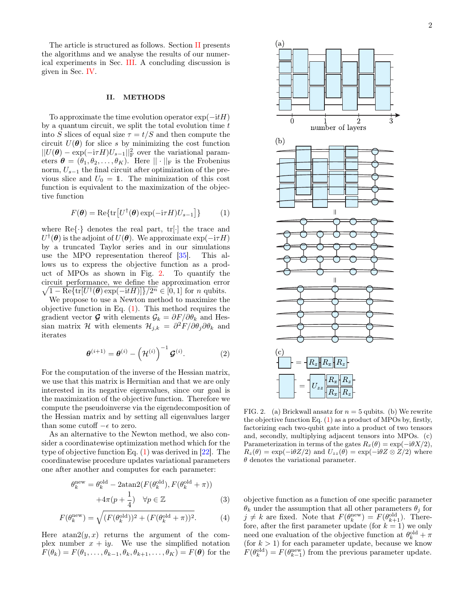The article is structured as follows. Section [II](#page-1-0) presents the algorithms and we analyse the results of our numerical experiments in Sec. [III.](#page-2-0) A concluding discussion is given in Sec. [IV.](#page-3-0)

# <span id="page-1-0"></span>II. METHODS

To approximate the time evolution operator  $\exp(-itH)$ by a quantum circuit, we split the total evolution time  $t$ into S slices of equal size  $\tau = t/S$  and then compute the circuit  $U(\theta)$  for slice s by minimizing the cost function  $||U(\theta) - \exp(-i\tau H)U_{s-1}||^2_F$  over the variational parameters  $\boldsymbol{\theta} = (\theta_1, \theta_2, \dots, \theta_K)$ . Here  $\|\cdot\|_F$  is the Frobenius norm,  $U_{s-1}$  the final circuit after optimization of the previous slice and  $U_0 = 1$ . The minimization of this cost function is equivalent to the maximization of the objective function

<span id="page-1-2"></span>
$$
F(\boldsymbol{\theta}) = \text{Re}\{\text{tr}\big[U^{\dagger}(\boldsymbol{\theta})\exp(-\text{i}\tau H)U_{s-1}\big]\}\tag{1}
$$

where  $\text{Re}\{\cdot\}$  denotes the real part, tr $[\cdot]$  the trace and  $U^{\dagger}(\boldsymbol{\theta})$  is the adjoint of  $U(\boldsymbol{\theta})$ . We approximate  $\exp(-i\tau H)$ by a truncated Taylor series and in our simulations use the MPO representation thereof [\[35\]](#page-5-7). This allows us to express the objective function as a product of MPOs as shown in Fig. [2.](#page-1-1) To quantify the circuit performance, we define the approximation error  $\sqrt{1-\text{Re}\{\text{tr}[U^{\dagger}(\boldsymbol{\theta})\exp(-\text{i}tH)]\}/2^n} \in [0,1]$  for *n* qubits.

We propose to use a Newton method to maximize the objective function in Eq.  $(1)$ . This method requires the gradient vector G with elements  $\mathcal{G}_k = \partial F/\partial \theta_k$  and Hessian matrix H with elements  $\mathcal{H}_{j,k} = \frac{\partial^2 F}{\partial \theta_j \partial \theta_k}$  and iterates

$$
\boldsymbol{\theta}^{(i+1)} = \boldsymbol{\theta}^{(i)} - \left(\mathcal{H}^{(i)}\right)^{-1} \boldsymbol{\mathcal{G}}^{(i)}.
$$
 (2)

For the computation of the inverse of the Hessian matrix, we use that this matrix is Hermitian and that we are only interested in its negative eigenvalues, since our goal is the maximization of the objective function. Therefore we compute the pseudoinverse via the eigendecomposition of the Hessian matrix and by setting all eigenvalues larger than some cutoff  $-\epsilon$  to zero.

As an alternative to the Newton method, we also consider a coordinatewise optimization method which for the type of objective function Eq.  $(1)$  was derived in  $[22]$ . The coordinatewise procedure updates variational parameters one after another and computes for each parameter:

$$
\theta_k^{\text{new}} = \theta_k^{\text{old}} - 2 \text{atan2}(F(\theta_k^{\text{old}}), F(\theta_k^{\text{old}} + \pi))
$$

$$
+ 4\pi (p + \frac{1}{4}) \quad \forall p \in \mathbb{Z}
$$
(3)

$$
F(\theta_k^{\text{new}}) = \sqrt{(F(\theta_k^{\text{old}}))^2 + (F(\theta_k^{\text{old}} + \pi))^2}.
$$
 (4)

Here  $\text{atan2}(y, x)$  returns the argument of the complex number  $x + iy$ . We use the simplified notation  $F(\theta_k) = F(\theta_1, \ldots, \theta_{k-1}, \theta_k, \theta_{k+1}, \ldots, \theta_K) = F(\theta)$  for the



<span id="page-1-1"></span>FIG. 2. (a) Brickwall ansatz for  $n = 5$  qubits. (b) We rewrite the objective function Eq. [\(1\)](#page-1-2) as a product of MPOs by, firstly, factorizing each two-qubit gate into a product of two tensors and, secondly, multiplying adjacent tensors into MPOs. (c) Parameterization in terms of the gates  $R_x(\theta) = \exp(-i\theta X/2)$ ,  $R_z(\theta) = \exp(-i\theta Z/2)$  and  $U_{zz}(\theta) = \exp(-i\theta Z \otimes Z/2)$  where  $\theta$  denotes the variational parameter.

objective function as a function of one specific parameter  $\theta_k$  under the assumption that all other parameters  $\theta_i$  for  $j \neq k$  are fixed. Note that  $F(\theta_k^{\text{new}}) = F(\theta_{k+1}^{\text{old}})$ . Therefore, after the first parameter update (for  $k = 1$ ) we only need one evaluation of the objective function at  $\theta_k^{\text{old}} + \pi$ (for  $k > 1$ ) for each parameter update, because we know  $F(\theta_k^{\text{old}}) = F(\theta_{k-1}^{\text{new}})$  from the previous parameter update.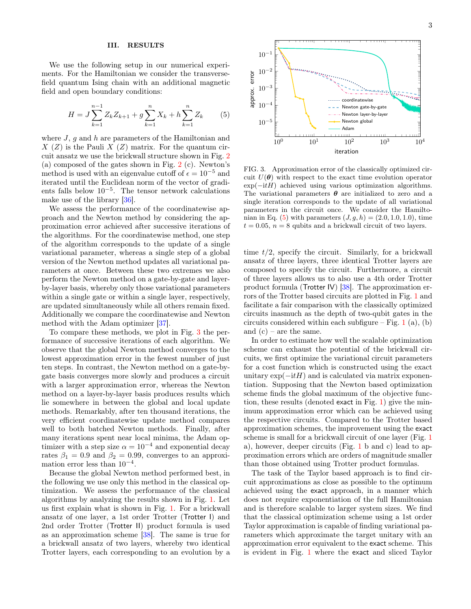## <span id="page-2-2"></span><span id="page-2-0"></span>III. RESULTS

We use the following setup in our numerical experiments. For the Hamiltonian we consider the transversefield quantum Ising chain with an additional magnetic field and open boundary conditions:

$$
H = J \sum_{k=1}^{n-1} Z_k Z_{k+1} + g \sum_{k=1}^{n} X_k + h \sum_{k=1}^{n} Z_k
$$
 (5)

where  $J, g$  and  $h$  are parameters of the Hamiltonian and  $X(Z)$  is the Pauli  $X(Z)$  matrix. For the quantum circuit ansatz we use the brickwall structure shown in Fig. [2](#page-1-1) (a) composed of the gates shown in Fig. [2](#page-1-1) (c). Newton's method is used with an eigenvalue cutoff of  $\epsilon = 10^{-5}$  and iterated until the Euclidean norm of the vector of gradients falls below 10−<sup>5</sup> . The tensor network calculations make use of the library [\[36\]](#page-5-8).

We assess the performance of the coordinatewise approach and the Newton method by considering the approximation error achieved after successive iterations of the algorithms. For the coordinatewise method, one step of the algorithm corresponds to the update of a single variational parameter, whereas a single step of a global version of the Newton method updates all variational parameters at once. Between these two extremes we also perform the Newton method on a gate-by-gate and layerby-layer basis, whereby only those variational parameters within a single gate or within a single layer, respectively, are updated simultaneously while all others remain fixed. Additionally we compare the coordinatewise and Newton method with the Adam optimizer [\[37\]](#page-5-9).

To compare these methods, we plot in Fig. [3](#page-2-1) the performance of successive iterations of each algorithm. We observe that the global Newton method converges to the lowest approximation error in the fewest number of just ten steps. In contrast, the Newton method on a gate-bygate basis converges more slowly and produces a circuit with a larger approximation error, whereas the Newton method on a layer-by-layer basis produces results which lie somewhere in between the global and local update methods. Remarkably, after ten thousand iterations, the very efficient coordinatewise update method compares well to both batched Newton methods. Finally, after many iterations spent near local minima, the Adam optimizer with a step size  $\alpha = 10^{-4}$  and exponential decay rates  $\beta_1 = 0.9$  and  $\beta_2 = 0.99$ , converges to an approximation error less than  $10^{-4}$ .

Because the global Newton method performed best, in the following we use only this method in the classical optimization. We assess the performance of the classical algorithms by analyzing the results shown in Fig. [1.](#page-0-1) Let us first explain what is shown in Fig. [1.](#page-0-1) For a brickwall ansatz of one layer, a 1st order Trotter (Trotter I) and 2nd order Trotter (Trotter II) product formula is used as an approximation scheme [\[38\]](#page-5-10). The same is true for a brickwall ansatz of two layers, whereby two identical Trotter layers, each corresponding to an evolution by a



<span id="page-2-1"></span>FIG. 3. Approximation error of the classically optimized circuit  $U(\theta)$  with respect to the exact time evolution operator  $\exp(-itH)$  achieved using various optimization algorithms. The variational parameters  $\boldsymbol{\theta}$  are initialized to zero and a single iteration corresponds to the update of all variational parameters in the circuit once. We consider the Hamilto-nian in Eq. [\(5\)](#page-2-2) with parameters  $(J, g, h) = (2.0, 1.0, 1.0)$ , time  $t = 0.05$ ,  $n = 8$  qubits and a brickwall circuit of two layers.

time  $t/2$ , specify the circuit. Similarly, for a brickwall ansatz of three layers, three identical Trotter layers are composed to specify the circuit. Furthermore, a circuit of three layers allows us to also use a 4th order Trotter product formula (Trotter IV) [\[38\]](#page-5-10). The approximation errors of the Trotter based circuits are plotted in Fig. [1](#page-0-1) and facilitate a fair comparison with the classically optimized circuits inasmuch as the depth of two-qubit gates in the circuits considered within each subfigure – Fig. [1](#page-0-1) (a), (b) and  $(c)$  – are the same.

In order to estimate how well the scalable optimization scheme can exhaust the potential of the brickwall circuits, we first optimize the variational circuit parameters for a cost function which is constructed using the exact unitary  $\exp(-itH)$  and is calculated via matrix exponentiation. Supposing that the Newton based optimization scheme finds the global maximum of the objective function, these results (denoted exact in Fig. [1\)](#page-0-1) give the minimum approximation error which can be achieved using the respective circuits. Compared to the Trotter based approximation schemes, the improvement using the exact scheme is small for a brickwall circuit of one layer (Fig. [1](#page-0-1) a), however, deeper circuits (Fig. [1](#page-0-1) b and c) lead to approximation errors which are orders of magnitude smaller than those obtained using Trotter product formulas.

The task of the Taylor based approach is to find circuit approximations as close as possible to the optimum achieved using the exact approach, in a manner which does not require exponentiation of the full Hamiltonian and is therefore scalable to larger system sizes. We find that the classical optimization scheme using a 1st order Taylor approximation is capable of finding variational parameters which approximate the target unitary with an approximation error equivalent to the exact scheme. This is evident in Fig. [1](#page-0-1) where the exact and sliced Taylor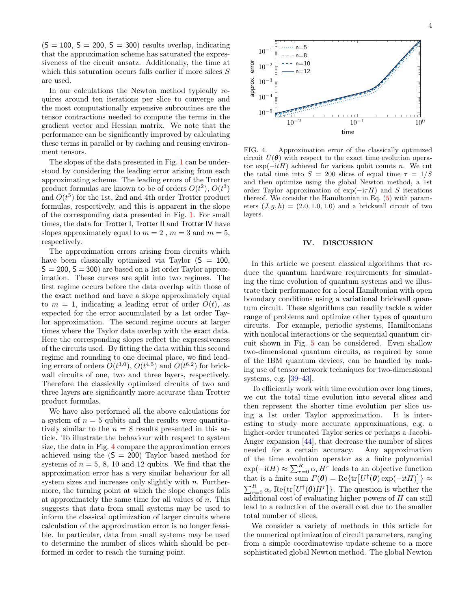$(S = 100, S = 200, S = 300)$  results overlap, indicating that the approximation scheme has saturated the expressiveness of the circuit ansatz. Additionally, the time at which this saturation occurs falls earlier if more silces  $S$ are used.

In our calculations the Newton method typically requires around ten iterations per slice to converge and the most computationally expensive subroutines are the tensor contractions needed to compute the terms in the gradient vector and Hessian matrix. We note that the performance can be significantly improved by calculating these terms in parallel or by caching and reusing environment tensors.

The slopes of the data presented in Fig. [1](#page-0-1) can be understood by considering the leading error arising from each approximating scheme. The leading errors of the Trotter product formulas are known to be of orders  $O(t^2)$ ,  $O(t^3)$ and  $O(t^5)$  for the 1st, 2nd and 4th order Trotter product formulas, respectively, and this is apparent in the slope of the corresponding data presented in Fig. [1.](#page-0-1) For small times, the data for Trotter I, Trotter II and Trotter IV have slopes approximately equal to  $m = 2$ ,  $m = 3$  and  $m = 5$ , respectively.

The approximation errors arising from circuits which have been classically optimized via Taylor  $(S = 100,$  $S = 200$ ,  $S = 300$  are based on a 1st order Taylor approximation. These curves are split into two regimes. The first regime occurs before the data overlap with those of the exact method and have a slope approximately equal to  $m = 1$ , indicating a leading error of order  $O(t)$ , as expected for the error accumulated by a 1st order Taylor approximation. The second regime occurs at larger times where the Taylor data overlap with the exact data. Here the corresponding slopes reflect the expressiveness of the circuits used. By fitting the data within this second regime and rounding to one decimal place, we find leading errors of orders  $O(t^{3.0})$ ,  $O(t^{4.5})$  and  $O(t^{6.2})$  for brickwall circuits of one, two and three layers, respectively. Therefore the classically optimized circuits of two and three layers are significantly more accurate than Trotter product formulas.

We have also performed all the above calculations for a system of  $n = 5$  qubits and the results were quantitatively similar to the  $n = 8$  results presented in this article. To illustrate the behaviour with respect to system size, the data in Fig. [4](#page-3-1) compare the approximation errors achieved using the  $(S = 200)$  Taylor based method for systems of  $n = 5, 8, 10$  and 12 qubits. We find that the approximation error has a very similar behaviour for all system sizes and increases only slightly with  $n$ . Furthermore, the turning point at which the slope changes falls at approximately the same time for all values of  $n$ . This suggests that data from small systems may be used to inform the classical optimization of larger circuits where calculation of the approximation error is no longer feasible. In particular, data from small systems may be used to determine the number of slices which should be performed in order to reach the turning point.



<span id="page-3-1"></span>FIG. 4. Approximation error of the classically optimized circuit  $U(\theta)$  with respect to the exact time evolution operator  $\exp(-itH)$  achieved for various qubit counts n. We cut the total time into  $S = 200$  slices of equal time  $\tau = 1/S$ and then optimize using the global Newton method, a 1st order Taylor approximation of  $exp(-i\tau H)$  and S iterations thereof. We consider the Hamiltonian in Eq. [\(5\)](#page-2-2) with parameters  $(J, g, h) = (2.0, 1.0, 1.0)$  and a brickwall circuit of two layers.

### <span id="page-3-0"></span>IV. DISCUSSION

In this article we present classical algorithms that reduce the quantum hardware requirements for simulating the time evolution of quantum systems and we illustrate their performance for a local Hamiltonian with open boundary conditions using a variational brickwall quantum circuit. These algorithms can readily tackle a wider range of problems and optimize other types of quantum circuits. For example, periodic systems, Hamiltonians with nonlocal interactions or the sequential quantum circuit shown in Fig. [5](#page-4-9) can be considered. Even shallow two-dimensional quantum circuits, as required by some of the IBM quantum devices, can be handled by making use of tensor network techniques for two-dimensional systems, e.g. [\[39–](#page-5-11)[43\]](#page-5-12).

To efficiently work with time evolution over long times, we cut the total time evolution into several slices and then represent the shorter time evolution per slice using a 1st order Taylor approximation. It is interesting to study more accurate approximations, e.g. a higher-order truncated Taylor series or perhaps a Jacobi-Anger expansion [\[44\]](#page-5-13), that decrease the number of slices needed for a certain accuracy. Any approximation of the time evolution operator as a finite polynomial  $\exp(-\mathrm{i}tH) \approx \sum_{r=0}^{R} \alpha_r H^r$  leads to an objective function that is a finite sum  $F(\theta) = \text{Re}\{\text{tr}\left[U^{\dagger}(\theta) \exp(-\text{i} t H)\right]\} \approx$  $\sum_{r=0}^{R} \alpha_r \operatorname{Re} \{ \operatorname{tr} \big[ U^{\dagger}(\boldsymbol{\theta}) H^r \big] \}.$  The question is whether the additional cost of evaluating higher powers of  $H$  can still lead to a reduction of the overall cost due to the smaller total number of slices.

We consider a variety of methods in this article for the numerical optimization of circuit parameters, ranging from a simple coordinatewise update scheme to a more sophisticated global Newton method. The global Newton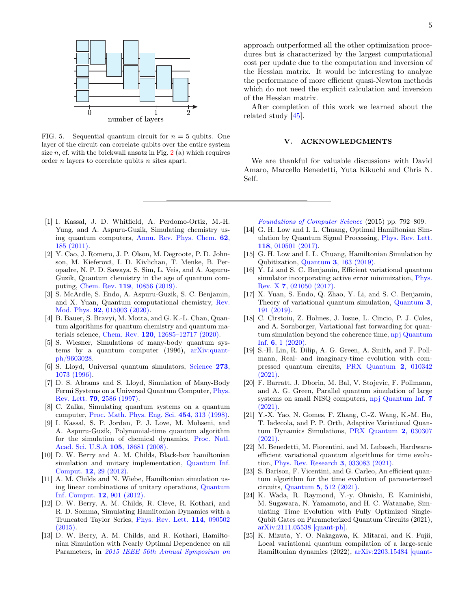

<span id="page-4-9"></span>FIG. 5. Sequential quantum circuit for  $n = 5$  qubits. One layer of the circuit can correlate qubits over the entire system size  $n$ , cf. with the brickwall ansatz in Fig.  $2(a)$  $2(a)$  which requires order  $n$  layers to correlate qubits  $n$  sites apart.

- <span id="page-4-0"></span>[1] I. Kassal, J. D. Whitfield, A. Perdomo-Ortiz, M.-H. Yung, and A. Aspuru-Guzik, Simulating chemistry using quantum computers, [Annu. Rev. Phys. Chem.](https://doi.org/10.1146/annurev-physchem-032210-103512) 62, [185 \(2011\).](https://doi.org/10.1146/annurev-physchem-032210-103512)
- [2] Y. Cao, J. Romero, J. P. Olson, M. Degroote, P. D. Johnson, M. Kieferová, I. D. Kivlichan, T. Menke, B. Peropadre, N. P. D. Sawaya, S. Sim, L. Veis, and A. Aspuru-Guzik, Quantum chemistry in the age of quantum computing, Chem. Rev. 119[, 10856 \(2019\).](https://doi.org/10.1021/acs.chemrev.8b00803)
- [3] S. McArdle, S. Endo, A. Aspuru-Guzik, S. C. Benjamin, and X. Yuan, Quantum computational chemistry, [Rev.](https://doi.org/10.1103/RevModPhys.92.015003) Mod. Phys. 92[, 015003 \(2020\).](https://doi.org/10.1103/RevModPhys.92.015003)
- <span id="page-4-1"></span>[4] B. Bauer, S. Bravyi, M. Motta, and G. K.-L. Chan, Quantum algorithms for quantum chemistry and quantum materials science, Chem. Rev. 120[, 12685–12717 \(2020\).](https://doi.org/10.1021/acs.chemrev.9b00829)
- <span id="page-4-2"></span>[5] S. Wiesner, Simulations of many-body quantum systems by a quantum computer (1996), [arXiv:quant](https://arxiv.org/abs/quant-ph/9603028)[ph/9603028.](https://arxiv.org/abs/quant-ph/9603028)
- [6] S. Lloyd, Universal quantum simulators, [Science](https://doi.org/10.1126/science.273.5278.1073) 273, [1073 \(1996\).](https://doi.org/10.1126/science.273.5278.1073)
- [7] D. S. Abrams and S. Lloyd, Simulation of Many-Body Fermi Systems on a Universal Quantum Computer, [Phys.](https://doi.org/10.1103/PhysRevLett.79.2586) Rev. Lett. 79[, 2586 \(1997\).](https://doi.org/10.1103/PhysRevLett.79.2586)
- [8] C. Zalka, Simulating quantum systems on a quantum computer, [Proc. Math. Phys. Eng. Sci.](https://doi.org/10.1098/rspa.1998.0162) 454, 313 (1998).
- <span id="page-4-3"></span>[9] I. Kassal, S. P. Jordan, P. J. Love, M. Mohseni, and A. Aspuru-Guzik, Polynomial-time quantum algorithm for the simulation of chemical dynamics, [Proc. Natl.](https://doi.org/10.1073/pnas.0808245105) [Acad. Sci. U.S.A](https://doi.org/10.1073/pnas.0808245105) 105, 18681 (2008).
- <span id="page-4-4"></span>[10] D. W. Berry and A. M. Childs, Black-box hamiltonian simulation and unitary implementation, [Quantum Inf.](https://dl.acm.org/doi/10.5555/2231036.2231040) Comput. 12[, 29 \(2012\).](https://dl.acm.org/doi/10.5555/2231036.2231040)
- [11] A. M. Childs and N. Wiebe, Hamiltonian simulation using linear combinations of unitary operations, [Quantum](https://dl.acm.org/doi/10.5555/2481569.2481570) [Inf. Comput.](https://dl.acm.org/doi/10.5555/2481569.2481570) 12, 901 (2012).
- [12] D. W. Berry, A. M. Childs, R. Cleve, R. Kothari, and R. D. Somma, Simulating Hamiltonian Dynamics with a Truncated Taylor Series, [Phys. Rev. Lett.](https://doi.org/10.1103/PhysRevLett.114.090502) 114, 090502 [\(2015\).](https://doi.org/10.1103/PhysRevLett.114.090502)
- [13] D. W. Berry, A. M. Childs, and R. Kothari, Hamiltonian Simulation with Nearly Optimal Dependence on all Parameters, in [2015 IEEE 56th Annual Symposium on](https://doi.org/10.1109/FOCS.2015.54)

approach outperformed all the other optimization procedures but is characterized by the largest computational cost per update due to the computation and inversion of the Hessian matrix. It would be interesting to analyze the performance of more efficient quasi-Newton methods which do not need the explicit calculation and inversion of the Hessian matrix.

After completion of this work we learned about the related study [\[45\]](#page-5-14).

#### V. ACKNOWLEDGMENTS

We are thankful for valuable discussions with David Amaro, Marcello Benedetti, Yuta Kikuchi and Chris N. Self.

[Foundations of Computer Science](https://doi.org/10.1109/FOCS.2015.54) (2015) pp. 792–809.

- [14] G. H. Low and I. L. Chuang, Optimal Hamiltonian Simulation by Quantum Signal Processing, [Phys. Rev. Lett.](https://doi.org/10.1103/PhysRevLett.118.010501) 118[, 010501 \(2017\).](https://doi.org/10.1103/PhysRevLett.118.010501)
- <span id="page-4-5"></span>[15] G. H. Low and I. L. Chuang, Hamiltonian Simulation by Qubitization, Quantum 3[, 163 \(2019\).](https://doi.org/10.22331/q-2019-07-12-163)
- <span id="page-4-6"></span>[16] Y. Li and S. C. Benjamin, Efficient variational quantum simulator incorporating active error minimization, [Phys.](https://doi.org/10.1103/PhysRevX.7.021050) Rev. X 7[, 021050 \(2017\).](https://doi.org/10.1103/PhysRevX.7.021050)
- [17] X. Yuan, S. Endo, Q. Zhao, Y. Li, and S. C. Benjamin, Theory of variational quantum simulation, [Quantum](https://doi.org/10.22331/q-2019-10-07-191) 3, [191 \(2019\).](https://doi.org/10.22331/q-2019-10-07-191)
- [18] C. Cirstoiu, Z. Holmes, J. Iosue, L. Cincio, P. J. Coles, and A. Sornborger, Variational fast forwarding for quantum simulation beyond the coherence time, [npj Quantum](https://doi.org/10.1038/s41534-020-00302-0) Inf. 6[, 1 \(2020\).](https://doi.org/10.1038/s41534-020-00302-0)
- [19] S.-H. Lin, R. Dilip, A. G. Green, A. Smith, and F. Pollmann, Real- and imaginary-time evolution with compressed quantum circuits, [PRX Quantum](https://doi.org/10.1103/PRXQuantum.2.010342) 2, 010342 [\(2021\).](https://doi.org/10.1103/PRXQuantum.2.010342)
- [20] F. Barratt, J. Dborin, M. Bal, V. Stojevic, F. Pollmann, and A. G. Green, Parallel quantum simulation of large systems on small NISQ computers, [npj Quantum Inf.](https://doi.org/10.1038/s41534-021-00420-3) 7 [\(2021\).](https://doi.org/10.1038/s41534-021-00420-3)
- [21] Y.-X. Yao, N. Gomes, F. Zhang, C.-Z. Wang, K.-M. Ho, T. Iadecola, and P. P. Orth, Adaptive Variational Quantum Dynamics Simulations, [PRX Quantum](https://doi.org/10.1103/PRXQuantum.2.030307) 2, 030307 [\(2021\).](https://doi.org/10.1103/PRXQuantum.2.030307)
- <span id="page-4-8"></span>[22] M. Benedetti, M. Fiorentini, and M. Lubasch, Hardwareefficient variational quantum algorithms for time evolution, [Phys. Rev. Research](https://doi.org/10.1103/PhysRevResearch.3.033083) 3, 033083 (2021).
- [23] S. Barison, F. Vicentini, and G. Carleo, An efficient quantum algorithm for the time evolution of parameterized circuits, Quantum 5[, 512 \(2021\).](https://doi.org/10.22331/q-2021-07-28-512)
- [24] K. Wada, R. Raymond, Y.-y. Ohnishi, E. Kaminishi, M. Sugawara, N. Yamamoto, and H. C. Watanabe, Simulating Time Evolution with Fully Optimized Single-Qubit Gates on Parameterized Quantum Circuits (2021), [arXiv:2111.05538 \[quant-ph\].](https://arxiv.org/abs/2111.05538)
- <span id="page-4-7"></span>[25] K. Mizuta, Y. O. Nakagawa, K. Mitarai, and K. Fujii, Local variational quantum compilation of a large-scale Hamiltonian dynamics (2022), [arXiv:2203.15484 \[quant-](https://arxiv.org/abs/2203.15484)